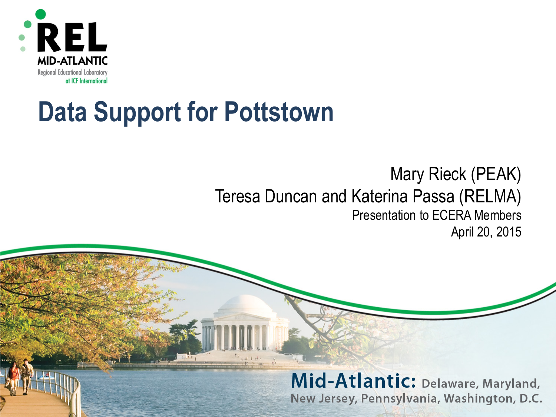

## **Data Support for Pottstown**

## Mary Rieck (PEAK) Teresa Duncan and Katerina Passa (RELMA) Presentation to ECERA Members April 20, 2015

Mid-Atlantic: Delaware, Maryland, New Jersey, Pennsylvania, Washington, D.C.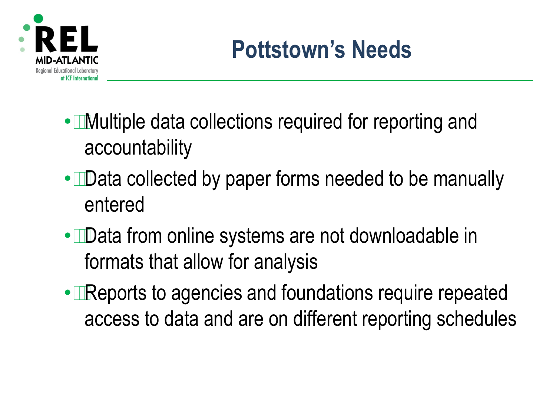

- Multiple data collections required for reporting and accountability
- Data collected by paper forms needed to be manually entered
- Data from online systems are not downloadable in formats that allow for analysis
- Reports to agencies and foundations require repeated access to data and are on different reporting schedules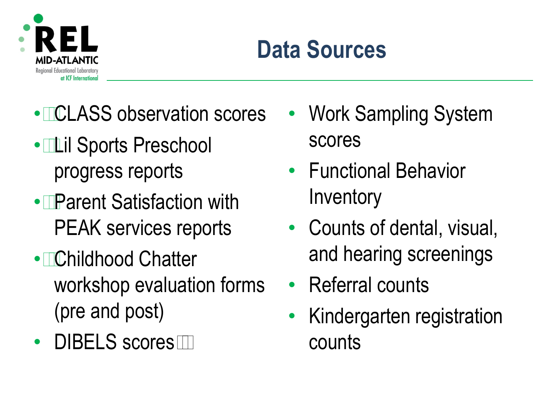

## **Data Sources**

- CLASS observation scores Work Sampling System
- Lil Sports Preschool scores
- Parent Satisfaction with Inventory
- Childhood Chatter and hearing screenings workshop evaluation forms • Referral counts (pre and post) • Kindergarten registration
- DIBELS scores counts
- 
- progress reports Functional Behavior
- PEAK services reports Counts of dental, visual,
	-
	-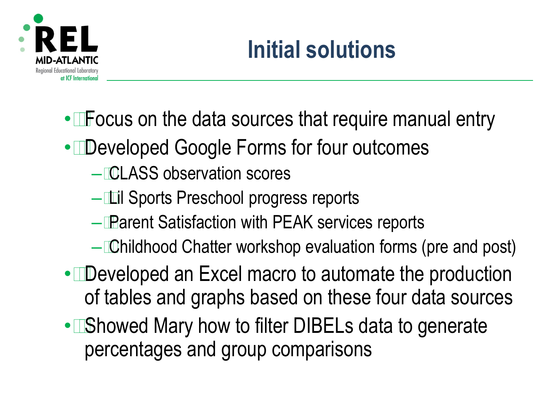

- Focus on the data sources that require manual entry
- Developed Google Forms for four outcomes
	- CLASS observation scores
	- $-$  Lil Sports Preschool progress reports
	- Parent Satisfaction with PEAK services reports
	- – Childhood Chatter workshop evaluation forms (pre and post)
- Developed an Excel macro to automate the production of tables and graphs based on these four data sources
- Showed Mary how to filter DIBELs data to generate percentages and group comparisons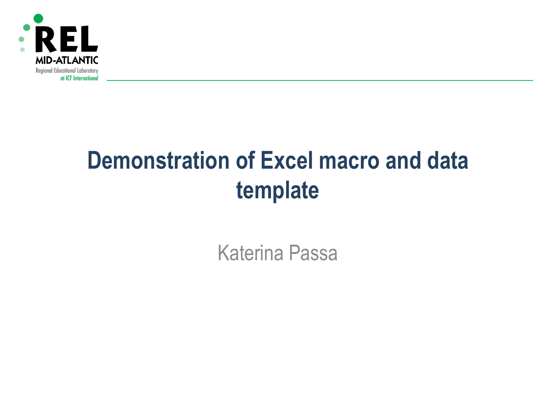

## **Demonstration of Excel macro and data template**

Katerina Passa